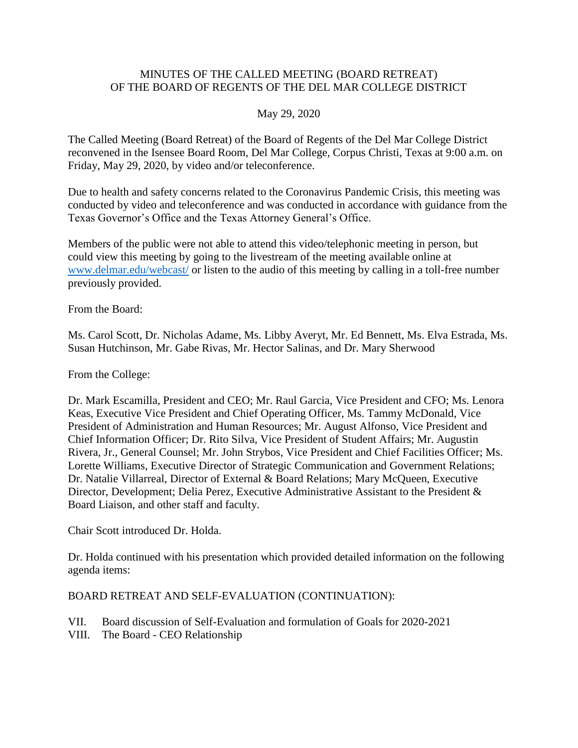## MINUTES OF THE CALLED MEETING (BOARD RETREAT) OF THE BOARD OF REGENTS OF THE DEL MAR COLLEGE DISTRICT

## May 29, 2020

The Called Meeting (Board Retreat) of the Board of Regents of the Del Mar College District reconvened in the Isensee Board Room, Del Mar College, Corpus Christi, Texas at 9:00 a.m. on Friday, May 29, 2020, by video and/or teleconference.

Due to health and safety concerns related to the Coronavirus Pandemic Crisis, this meeting was conducted by video and teleconference and was conducted in accordance with guidance from the Texas Governor's Office and the Texas Attorney General's Office.

 could view this meeting by going to the livestream of the meeting available online at Members of the public were not able to attend this video/telephonic meeting in person, but [www.delmar.edu/webcast/](http://www.delmar.edu/webcast/) or listen to the audio of this meeting by calling in a toll-free number previously provided.

From the Board:

Ms. Carol Scott, Dr. Nicholas Adame, Ms. Libby Averyt, Mr. Ed Bennett, Ms. Elva Estrada, Ms. Susan Hutchinson, Mr. Gabe Rivas, Mr. Hector Salinas, and Dr. Mary Sherwood

From the College:

Dr. Mark Escamilla, President and CEO; Mr. Raul Garcia, Vice President and CFO; Ms. Lenora Keas, Executive Vice President and Chief Operating Officer, Ms. Tammy McDonald, Vice President of Administration and Human Resources; Mr. August Alfonso, Vice President and Chief Information Officer; Dr. Rito Silva, Vice President of Student Affairs; Mr. Augustin Rivera, Jr., General Counsel; Mr. John Strybos, Vice President and Chief Facilities Officer; Ms. Lorette Williams, Executive Director of Strategic Communication and Government Relations; Dr. Natalie Villarreal, Director of External & Board Relations; Mary McQueen, Executive Director, Development; Delia Perez, Executive Administrative Assistant to the President & Board Liaison, and other staff and faculty.

Chair Scott introduced Dr. Holda.

Dr. Holda continued with his presentation which provided detailed information on the following agenda items:

## BOARD RETREAT AND SELF-EVALUATION (CONTINUATION):

- VII. Board discussion of Self-Evaluation and formulation of Goals for 2020-2021
- VIII. The Board CEO Relationship